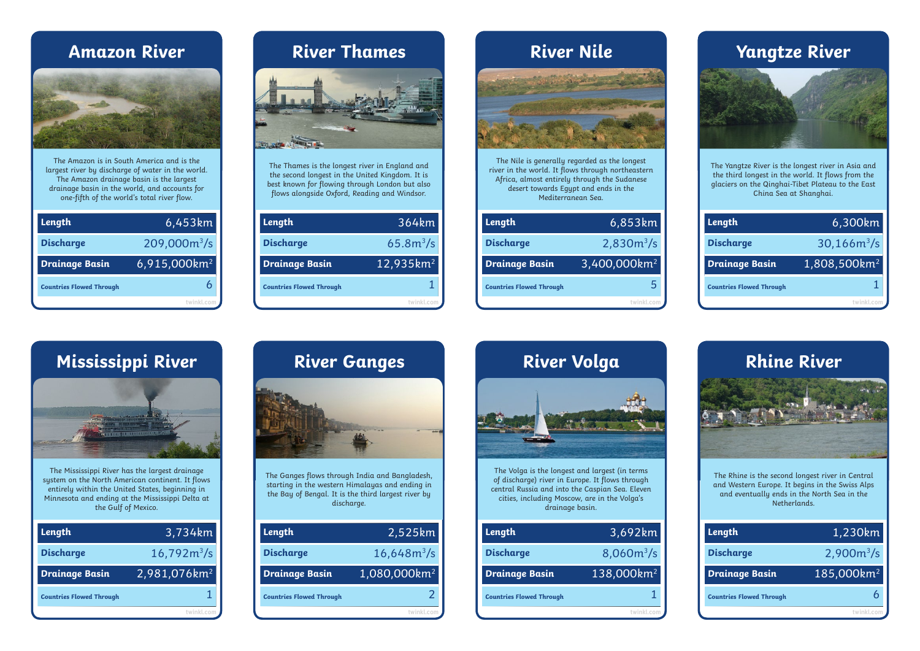## **Amazon River**



The Amazon is in South America and is the largest river by discharge of water in the world. The Amazon drainage basin is the largest drainage basin in the world, and accounts for one-fifth of the world's total river flow.

| Length                          | 6,453km                  |
|---------------------------------|--------------------------|
| <b>Discharge</b>                | 209,000m <sup>3</sup> /s |
| <b>Drainage Basin</b>           | 6,915,000km <sup>2</sup> |
| <b>Countries Flowed Through</b> |                          |
|                                 |                          |



The Thames is the longest river in England and the second longest in the United Kingdom. It is best known for flowing through London but also flows alongside Oxford, Reading and Windsor.

| 53km                 | Length                          | 364km                 | Length                          | 6,853km                  |
|----------------------|---------------------------------|-----------------------|---------------------------------|--------------------------|
| $\rm{)m}^{3}/\rm{s}$ | <b>Discharge</b>                | $65.8m^3/s$           | <b>Discharge</b>                | $2,830m^3/s$             |
| Okm <sup>2</sup>     | <b>Drainage Basin</b>           | 12,935km <sup>2</sup> | Drainage Basin                  | 3,400,000km <sup>2</sup> |
| 6                    | <b>Countries Flowed Through</b> |                       | <b>Countries Flowed Through</b> |                          |
|                      |                                 | twinkl.com            |                                 |                          |

# The Nile is generally regarded as the longest river in the world. It flows through northeastern Africa, almost entirely through the Sudanese desert towards Egypt and ends in the Mediterranean Sea. **River Thames River Nile Yangtze River**

| 54km             | Length                          | 6,853km                  | Length                          | 6,300km                  |
|------------------|---------------------------------|--------------------------|---------------------------------|--------------------------|
| $3m^3/s$         | <b>Discharge</b>                | $2,830m^{3}/s$           | <b>Discharge</b>                | $30,166m^3/s$            |
| 5km <sup>2</sup> | <b>Drainage Basin</b>           | 3,400,000km <sup>2</sup> | <b>Drainage Basin</b>           | 1,808,500km <sup>2</sup> |
|                  | <b>Countries Flowed Through</b> |                          | <b>Countries Flowed Through</b> |                          |
|                  |                                 | twinkl.com               |                                 |                          |



The Yangtze River is the longest river in Asia and the third longest in the world. It flows from the glaciers on the Qinghai-Tibet Plateau to the East China Sea at Shanghai.

| Length                          | 6,300km                  |
|---------------------------------|--------------------------|
| <b>Discharge</b>                | $30,166m^3/s$            |
| <b>Drainage Basin</b>           | 1,808,500km <sup>2</sup> |
| <b>Countries Flowed Through</b> |                          |
|                                 | twinkl com               |

# **Mississippi River River Ganges River Volga Rhine River**



The Mississippi River has the largest drainage system on the North American continent. It flows entirely within the United States, beginning in Minnesota and ending at the Mississippi Delta at the Gulf of Mexico.

| Length                          | 3,734km                  |
|---------------------------------|--------------------------|
| <b>Discharge</b>                | $16,792m^3/s$            |
| <b>Drainage Basin</b>           | 2,981,076km <sup>2</sup> |
| <b>Countries Flowed Through</b> |                          |
|                                 | twinkl.com               |



| Length                          | 2,525km                  |
|---------------------------------|--------------------------|
| <b>Discharge</b>                | $16,648m^3/s$            |
| <b>Drainage Basin</b>           | 1,080,000km <sup>2</sup> |
| <b>Countries Flowed Through</b> |                          |
|                                 | twinkl.co                |



The Volga is the longest and largest (in terms of discharge) river in Europe. It flows through central Russia and into the Caspian Sea. Eleven cities, including Moscow, are in the Volga's drainage basin.

| Length                          | 2,525km                  | Length                          | 3,692km                | Length                          |
|---------------------------------|--------------------------|---------------------------------|------------------------|---------------------------------|
| <b>Discharge</b>                | $16,648m^3/s$            | <b>Discharge</b>                | $8,060m^3/s$           | <b>Discharge</b>                |
| Drainage Basin                  | 1,080,000km <sup>2</sup> | Drainage Basin                  | 138,000km <sup>2</sup> | <b>Drainage Basin</b>           |
| <b>Countries Flowed Through</b> | 2                        | <b>Countries Flowed Through</b> |                        | <b>Countries Flowed Through</b> |
|                                 | twinkl.com               |                                 | twinkl.com             |                                 |



The Rhine is the second longest river in Central and Western Europe. It begins in the Swiss Alps and eventually ends in the North Sea in the Netherlands.

| Length                          | 1,230km                |
|---------------------------------|------------------------|
| <b>Discharge</b>                | $2,900m^3/s$           |
| <b>Drainage Basin</b>           | 185,000km <sup>2</sup> |
| <b>Countries Flowed Through</b> |                        |
|                                 | twinkl com             |